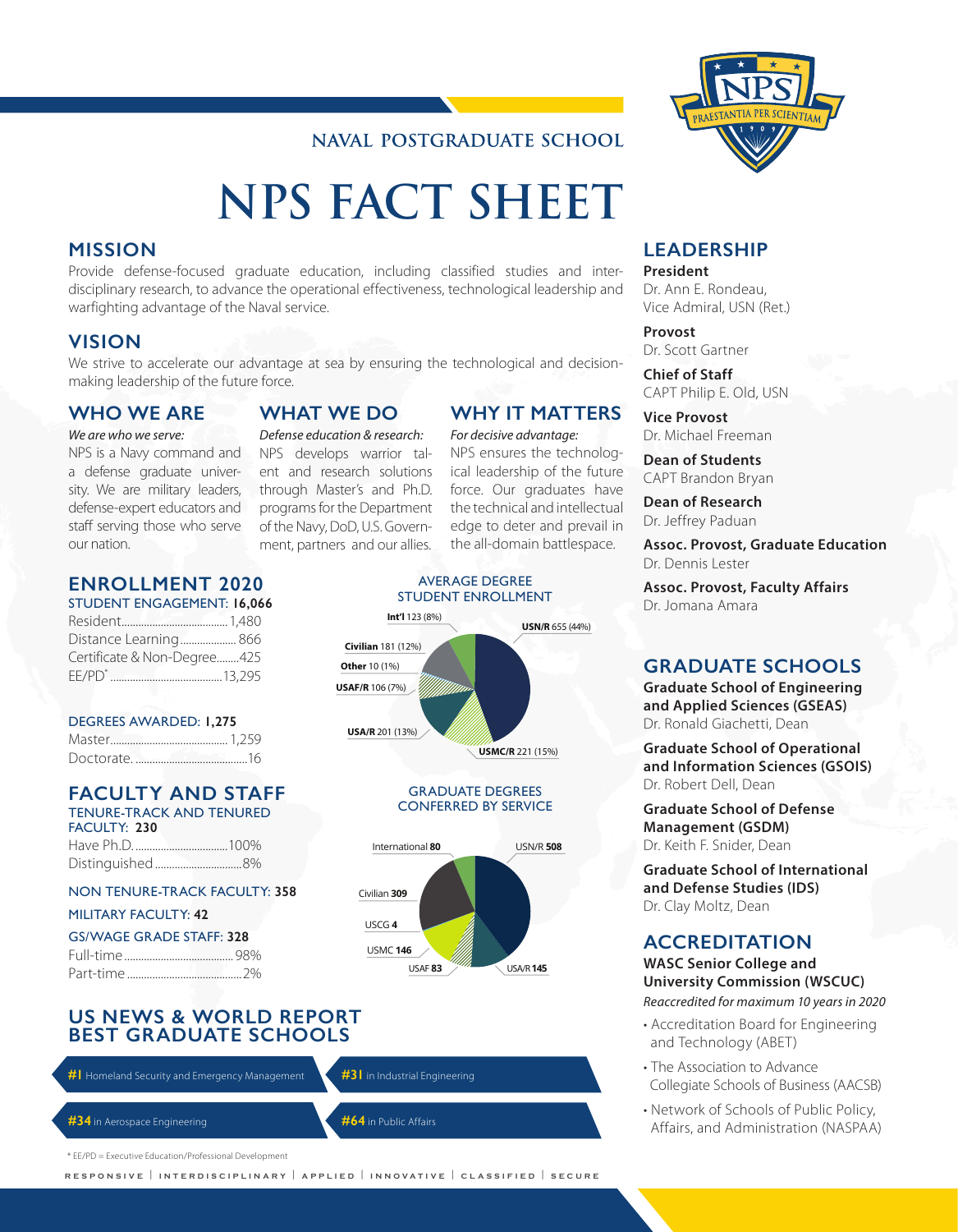## **NAVAL POSTGRADUATE SCHOOL**

# **NPS FACT SHEET**

#### **MISSION**

Provide defense-focused graduate education, including classified studies and interdisciplinary research, to advance the operational effectiveness, technological leadership and warfighting advantage of the Naval service.

#### **VISION**

We strive to accelerate our advantage at sea by ensuring the technological and decisionmaking leadership of the future force.

#### **WHO WE ARE**

#### *We are who we serve:*

NPS is a Navy command and a defense graduate university. We are military leaders, defense-expert educators and staff serving those who serve our nation.

**ENROLLMENT 2020** STUDENT ENGAGEMENT: **16,066** Resident......................................1,480 Distance Learning.................... 866 Certificate & Non-Degree........425 EE/PD\* ........................................13,295

DEGREES AWARDED: **1,275** Master.......................................... 1,259 Doctorate. ........................................16

FACULTY: **230**

**FACULTY AND STAFF** TENURE-TRACK AND TENURED

NON TENURE-TRACK FACULTY: **358**

Have Ph.D. .................................100% Distinguished...............................8%

MILITARY FACULTY: **42** GS/WAGE GRADE STAFF: **328** Full-time....................................... 98% Part-time .........................................2%

# **WHAT WE DO** *Defense education & research:* NPS develops warrior tal-

ent and research solutions through Master's and Ph.D. programs for the Department of the Navy, DoD, U.S. Government, partners and our allies.

#### AVERAGE DEGREE STUDENT ENROLLMENT the all-domain battlespace.

**WHY IT MATTERS** *For decisive advantage:* NPS ensures the technological leadership of the future force. Our graduates have the technical and intellectual edge to deter and prevail in



GRADUATE DEGREES CONFERRED BY SERVICE



#### **US NEWS & WORLD REPORT BEST GRADUATE SCHOOLS**

**#1** Homeland Security and Emergency Management **#31** in Industrial Engineering

**#34** in Aerospace Engineering **#64** in Public Affairs

\* EE/PD = Executive Education/Professional Development

**RESPONSIVE** | **INTERDISCIPLINARY** | **APPLIED** | **INNOVATIVE** | **CLASSIFIED** | **SECURE**



#### **LEADERSHIP**

**President** Dr. Ann E. Rondeau, Vice Admiral, USN (Ret.)

**Provost** Dr. Scott Gartner

**Chief of Staff** CAPT Philip E. Old, USN

**Vice Provost** Dr. Michael Freeman

**Dean of Students** CAPT Brandon Bryan

**Dean of Research** Dr. Jeffrey Paduan

**Assoc. Provost, Graduate Education** Dr. Dennis Lester

**Assoc. Provost, Faculty Affairs** Dr. Jomana Amara

#### **GRADUATE SCHOOLS**

**Graduate School of Engineering and Applied Sciences (GSEAS)** Dr. Ronald Giachetti, Dean

**Graduate School of Operational and Information Sciences (GSOIS)** Dr. Robert Dell, Dean

**Graduate School of Defense Management (GSDM)** Dr. Keith F. Snider, Dean

Civilian **309 Graduate School of International and Defense Studies (IDS)** Dr. Clay Moltz, Dean

## **ACCREDITATION**

**WASC Senior College and University Commission (WSCUC)**

*Reaccredited for maximum 10 years in 2020*

- Accreditation Board for Engineering and Technology (ABET)
- The Association to Advance Collegiate Schools of Business (AACSB)
- Network of Schools of Public Policy, Affairs, and Administration (NASPAA)